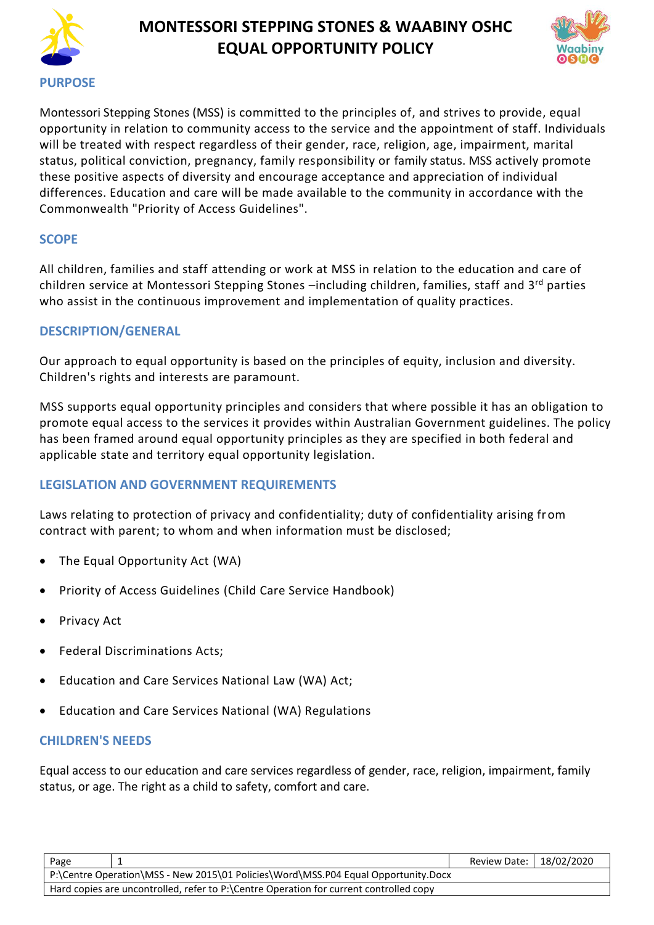

# **MONTESSORI STEPPING STONES & WAABINY OSHC EQUAL OPPORTUNITY POLICY**



Montessori Stepping Stones (MSS) is committed to the principles of, and strives to provide, equal opportunity in relation to community access to the service and the appointment of staff. Individuals will be treated with respect regardless of their gender, race, religion, age, impairment, marital status, political conviction, pregnancy, family responsibility or family status. MSS actively promote these positive aspects of diversity and encourage acceptance and appreciation of individual differences. Education and care will be made available to the community in accordance with the Commonwealth "Priority of Access Guidelines".

# **SCOPE**

All children, families and staff attending or work at MSS in relation to the education and care of children service at Montessori Stepping Stones -including children, families, staff and 3<sup>rd</sup> parties who assist in the continuous improvement and implementation of quality practices.

# **DESCRIPTION/GENERAL**

Our approach to equal opportunity is based on the principles of equity, inclusion and diversity. Children's rights and interests are paramount.

MSS supports equal opportunity principles and considers that where possible it has an obligation to promote equal access to the services it provides within Australian Government guidelines. The policy has been framed around equal opportunity principles as they are specified in both federal and applicable state and territory equal opportunity legislation.

# **LEGISLATION AND GOVERNMENT REQUIREMENTS**

Laws relating to protection of privacy and confidentiality; duty of confidentiality arising from contract with parent; to whom and when information must be disclosed;

- The Equal Opportunity Act (WA)
- Priority of Access Guidelines (Child Care Service Handbook)
- Privacy Act
- Federal Discriminations Acts;
- Education and Care Services National Law (WA) Act;
- Education and Care Services National (WA) Regulations

# **CHILDREN'S NEEDS**

Equal access to our education and care services regardless of gender, race, religion, impairment, family status, or age. The right as a child to safety, comfort and care.

| Page                                                                               |                                                                                        | Review Date:   18/02/2020 |  |
|------------------------------------------------------------------------------------|----------------------------------------------------------------------------------------|---------------------------|--|
| P:\Centre Operation\MSS - New 2015\01 Policies\Word\MSS.P04 Equal Opportunity.Docx |                                                                                        |                           |  |
|                                                                                    | Hard copies are uncontrolled, refer to P:\Centre Operation for current controlled copy |                           |  |
|                                                                                    |                                                                                        |                           |  |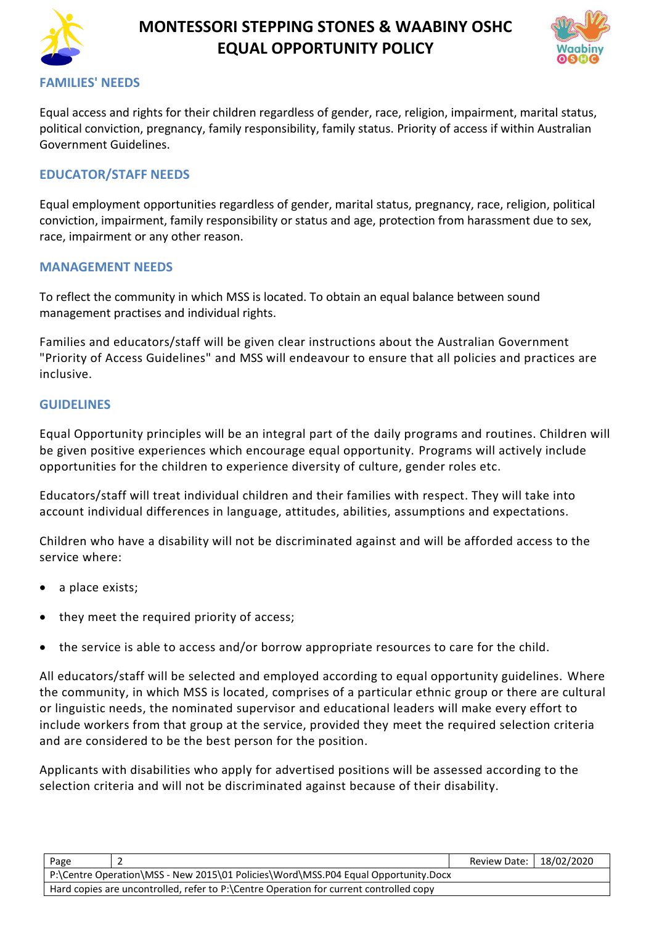

# **MONTESSORI STEPPING STONES & WAABINY OSHC EQUAL OPPORTUNITY POLICY**



#### **FAMILIES' NEEDS**

Equal access and rights for their children regardless of gender, race, religion, impairment, marital status, political conviction, pregnancy, family responsibility, family status. Priority of access if within Australian Government Guidelines.

### **EDUCATOR/STAFF NEEDS**

Equal employment opportunities regardless of gender, marital status, pregnancy, race, religion, political conviction, impairment, family responsibility or status and age, protection from harassment due to sex, race, impairment or any other reason.

#### **MANAGEMENT NEEDS**

To reflect the community in which MSS is located. To obtain an equal balance between sound management practises and individual rights.

Families and educators/staff will be given clear instructions about the Australian Government "Priority of Access Guidelines" and MSS will endeavour to ensure that all policies and practices are inclusive.

#### **GUIDELINES**

Equal Opportunity principles will be an integral part of the daily programs and routines. Children will be given positive experiences which encourage equal opportunity. Programs will actively include opportunities for the children to experience diversity of culture, gender roles etc.

Educators/staff will treat individual children and their families with respect. They will take into account individual differences in language, attitudes, abilities, assumptions and expectations.

Children who have a disability will not be discriminated against and will be afforded access to the service where:

- a place exists;
- they meet the required priority of access;
- the service is able to access and/or borrow appropriate resources to care for the child.

All educators/staff will be selected and employed according to equal opportunity guidelines. Where the community, in which MSS is located, comprises of a particular ethnic group or there are cultural or linguistic needs, the nominated supervisor and educational leaders will make every effort to include workers from that group at the service, provided they meet the required selection criteria and are considered to be the best person for the position.

Applicants with disabilities who apply for advertised positions will be assessed according to the selection criteria and will not be discriminated against because of their disability.

| Page                                                                                                                                                                         | Review Date:   18/02/2020 |  |  |  |  |
|------------------------------------------------------------------------------------------------------------------------------------------------------------------------------|---------------------------|--|--|--|--|
| P:\Centre Operation\MSS - New 2015\01 Policies\Word\MSS.P04 Equal Opportunity.Docx<br>Hard copies are uncontrolled, refer to P:\Centre Operation for current controlled copy |                           |  |  |  |  |